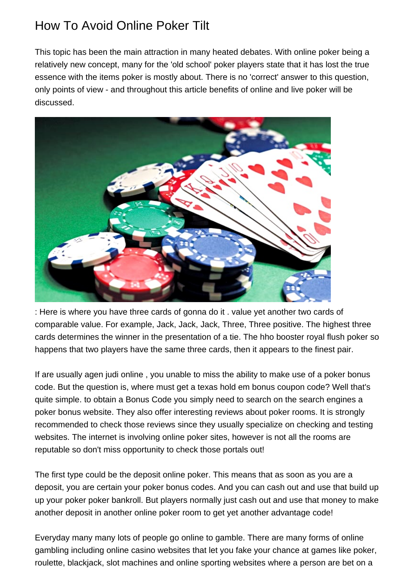## How To Avoid Online Poker Tilt

This topic has been the main attraction in many heated debates. With online poker being a relatively new concept, many for the 'old school' poker players state that it has lost the true essence with the items poker is mostly about. There is no 'correct' answer to this question, only points of view - and throughout this article benefits of online and live poker will be discussed.



: Here is where you have three cards of gonna do it . value yet another two cards of comparable value. For example, Jack, Jack, Jack, Three, Three positive. The highest three cards determines the winner in the presentation of a tie. The hho booster royal flush poker so happens that two players have the same three cards, then it appears to the finest pair.

If are usually [agen judi online](http://www.enrollgulfcoast.com) , you unable to miss the ability to make use of a poker bonus code. But the question is, where must get a texas hold em bonus coupon code? Well that's quite simple. to obtain a Bonus Code you simply need to search on the search engines a poker bonus website. They also offer interesting reviews about poker rooms. It is strongly recommended to check those reviews since they usually specialize on checking and testing websites. The internet is involving online poker sites, however is not all the rooms are reputable so don't miss opportunity to check those portals out!

The first type could be the deposit online poker. This means that as soon as you are a deposit, you are certain your poker bonus codes. And you can cash out and use that build up up your poker poker bankroll. But players normally just cash out and use that money to make another deposit in another online poker room to get yet another advantage code!

Everyday many many lots of people go online to gamble. There are many forms of online gambling including online casino websites that let you fake your chance at games like poker, roulette, blackjack, slot machines and online sporting websites where a person are bet on a